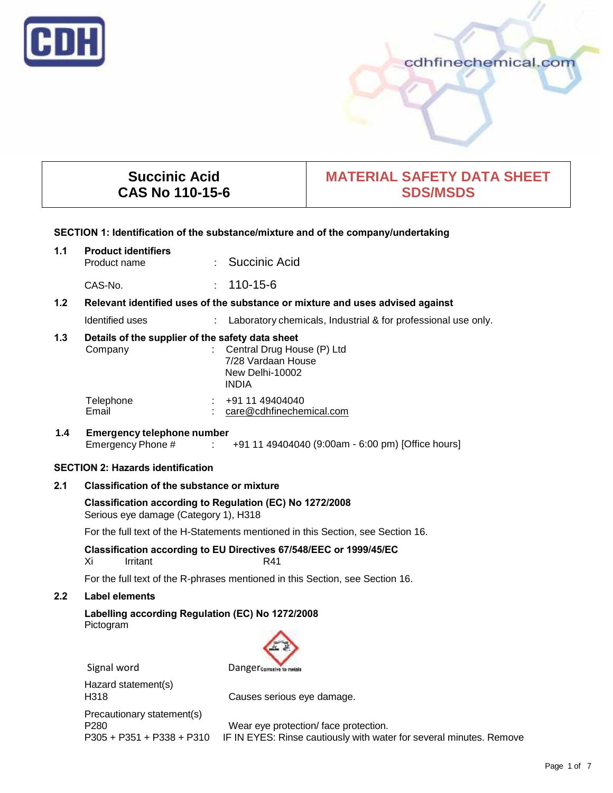

# cdhfinechemical.com

# **Succinic Acid CAS No 110-15-6**

# **MATERIAL SAFETY DATA SHEET SDS/MSDS**

#### **SECTION 1: Identification of the substance/mixture and of the company/undertaking**

# **1.1 Product identifiers** · Succinic Acid CAS-No. : 110-15-6

# **1.2 Relevant identified uses of the substance or mixture and uses advised against**

Identified uses : Laboratory chemicals, Industrial & for professional use only.

# **1.3 Details of the supplier of the safety data sheet**

| Company   | : Central Drug House (P) Ltd<br>7/28 Vardaan House<br>New Delhi-10002<br><b>INDIA</b> |
|-----------|---------------------------------------------------------------------------------------|
| Telephone | +91 11 49404040                                                                       |
| Email     | care@cdhfinechemical.com                                                              |

# **1.4 Emergency telephone number** Emergency Phone # : +91 11 49404040 (9:00am - 6:00 pm) [Office hours]

# **SECTION 2: Hazards identification**

# **2.1 Classification of the substance or mixture**

# **Classification according to Regulation (EC) No 1272/2008** Serious eye damage (Category 1), H318

For the full text of the H-Statements mentioned in this Section, see Section 16.

**Classification according to EU Directives 67/548/EEC or 1999/45/EC** Irritant R41

For the full text of the R-phrases mentioned in this Section, see Section 16.

# **2.2 Label elements**

**Labelling according Regulation (EC) No 1272/2008** Pictogram



Hazard statement(s) Precautionary statement(s)

H318 Causes serious eye damage.

P280 Wear eye protection/ face protection.<br>P305 + P351 + P338 + P310 IF IN EYES: Rinse cautiously with wate IF IN EYES: Rinse cautiously with water for several minutes. Remove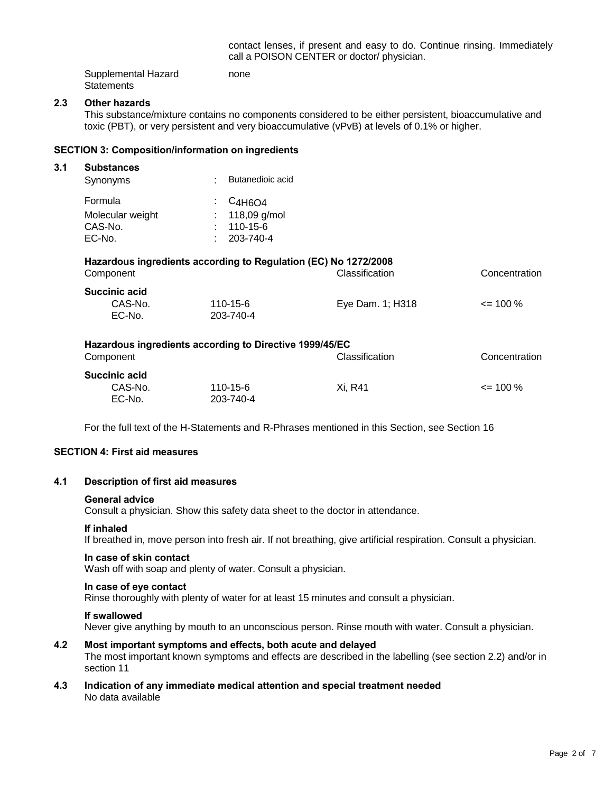contact lenses, if present and easy to do. Continue rinsing. Immediately call a POISON CENTER or doctor/ physician.

| Supplemental Hazard | none |  |
|---------------------|------|--|
| Statements          |      |  |

#### **2.3 Other hazards**

This substance/mixture contains no components considered to be either persistent, bioaccumulative and toxic (PBT), or very persistent and very bioaccumulative (vPvB) at levels of 0.1% or higher.

#### **SECTION 3: Composition/information on ingredients**

#### **3.1 Substances**

| Butanedioic acid                 |
|----------------------------------|
| $\frac{1}{2}$ C <sub>4H6O4</sub> |
| : $118,09$ g/mol                 |
| $: 110 - 15 - 6$                 |
| $: 203 - 740 - 4$                |
|                                  |

# **Hazardous ingredients according to Regulation (EC) No 1272/2008**

| Component         |                       | <b>Classification</b> | Concentration |  |
|-------------------|-----------------------|-----------------------|---------------|--|
| Succinic acid     |                       |                       |               |  |
| CAS-No.<br>EC-No. | 110-15-6<br>203-740-4 | Eye Dam. 1; H318      | $\leq$ 100 %  |  |

| Hazardous ingredients according to Directive 1999/45/EC |           |                |               |
|---------------------------------------------------------|-----------|----------------|---------------|
| Component                                               |           | Classification | Concentration |
| Succinic acid                                           |           |                |               |
| CAS-No.                                                 | 110-15-6  | Xi. R41        | $\leq$ 100 %  |
| EC-No.                                                  | 203-740-4 |                |               |

For the full text of the H-Statements and R-Phrases mentioned in this Section, see Section 16

# **SECTION 4: First aid measures**

#### **4.1 Description of first aid measures**

#### **General advice**

Consult a physician. Show this safety data sheet to the doctor in attendance.

#### **If inhaled**

If breathed in, move person into fresh air. If not breathing, give artificial respiration. Consult a physician.

#### **In case of skin contact**

Wash off with soap and plenty of water. Consult a physician.

#### **In case of eye contact**

Rinse thoroughly with plenty of water for at least 15 minutes and consult a physician.

#### **If swallowed**

Never give anything by mouth to an unconscious person. Rinse mouth with water. Consult a physician.

#### **4.2 Most important symptoms and effects, both acute and delayed**

The most important known symptoms and effects are described in the labelling (see section 2.2) and/or in section 11

**4.3 Indication of any immediate medical attention and special treatment needed** No data available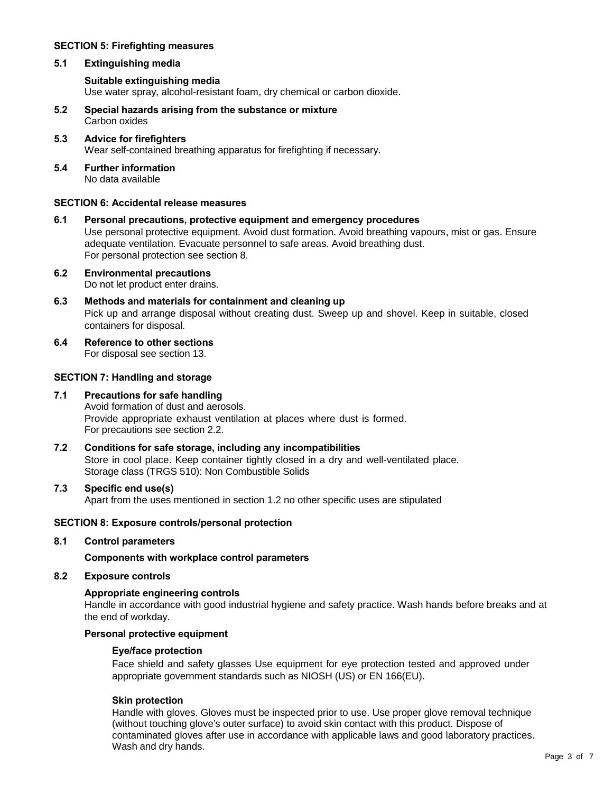# **SECTION 5: Firefighting measures**

# **5.1 Extinguishing media**

# **Suitable extinguishing media**

Use water spray, alcohol-resistant foam, dry chemical or carbon dioxide.

- **5.2 Special hazards arising from the substance or mixture** Carbon oxides
- **5.3 Advice for firefighters** Wear self-contained breathing apparatus for firefighting if necessary.
- **5.4 Further information** No data available

#### **SECTION 6: Accidental release measures**

**6.1 Personal precautions, protective equipment and emergency procedures** Use personal protective equipment. Avoid dust formation. Avoid breathing vapours, mist or gas. Ensure adequate ventilation. Evacuate personnel to safe areas. Avoid breathing dust. For personal protection see section 8.

#### **6.2 Environmental precautions** Do not let product enter drains.

- **6.3 Methods and materials for containment and cleaning up** Pick up and arrange disposal without creating dust. Sweep up and shovel. Keep in suitable, closed containers for disposal.
- **6.4 Reference to other sections** For disposal see section 13.

# **SECTION 7: Handling and storage**

#### **7.1 Precautions for safe handling** Avoid formation of dust and aerosols. Provide appropriate exhaust ventilation at places where dust is formed. For precautions see section 2.2.

**7.2 Conditions for safe storage, including any incompatibilities** Store in cool place. Keep container tightly closed in a dry and well-ventilated place. Storage class (TRGS 510): Non Combustible Solids

#### **7.3 Specific end use(s)** Apart from the uses mentioned in section 1.2 no other specific uses are stipulated

# **SECTION 8: Exposure controls/personal protection**

# **8.1 Control parameters**

**Components with workplace control parameters**

**8.2 Exposure controls**

# **Appropriate engineering controls**

Handle in accordance with good industrial hygiene and safety practice. Wash hands before breaks and at the end of workday.

# **Personal protective equipment**

# **Eye/face protection**

Face shield and safety glasses Use equipment for eye protection tested and approved under appropriate government standards such as NIOSH (US) or EN 166(EU).

# **Skin protection**

Handle with gloves. Gloves must be inspected prior to use. Use proper glove removal technique (without touching glove's outer surface) to avoid skin contact with this product. Dispose of contaminated gloves after use in accordance with applicable laws and good laboratory practices. Wash and dry hands.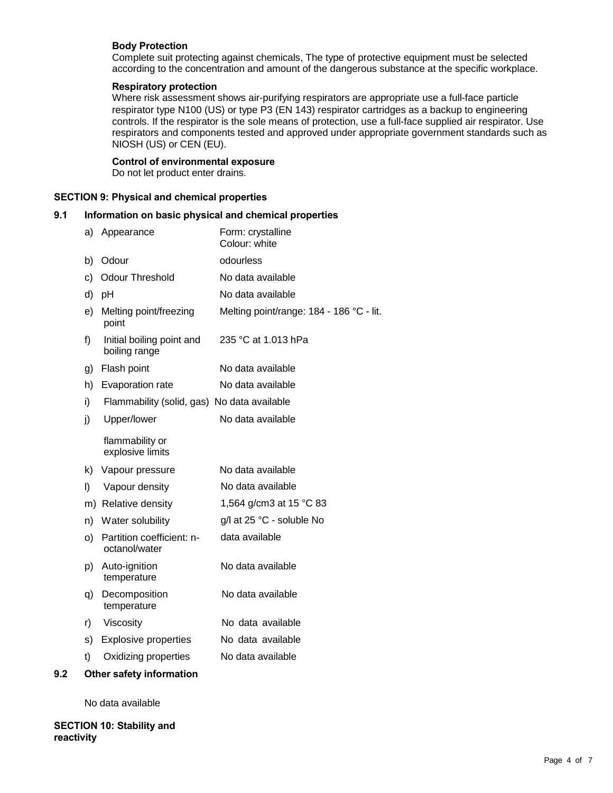# **Body Protection**

Complete suit protecting against chemicals, The type of protective equipment must be selected according to the concentration and amount of the dangerous substance at the specific workplace.

# **Respiratory protection**

Where risk assessment shows air-purifying respirators are appropriate use a full-face particle respirator type N100 (US) or type P3 (EN 143) respirator cartridges as a backup to engineering controls. If the respirator is the sole means of protection, use a full-face supplied air respirator. Use respirators and components tested and approved under appropriate government standards such as NIOSH (US) or CEN (EU).

# **Control of environmental exposure**

Do not let product enter drains.

#### **SECTION 9: Physical and chemical properties**

# **9.1 Information on basic physical and chemical properties**

| a) | Appearance                                  | Form: crystalline<br>Colour: white       |
|----|---------------------------------------------|------------------------------------------|
| b) | Odour                                       | odourless                                |
| c) | <b>Odour Threshold</b>                      | No data available                        |
| d) | pH                                          | No data available                        |
| e) | Melting point/freezing<br>point             | Melting point/range: 184 - 186 °C - lit. |
| f) | Initial boiling point and<br>boiling range  | 235 °C at 1.013 hPa                      |
| g) | Flash point                                 | No data available                        |
| h) | Evaporation rate                            | No data available                        |
| i) | Flammability (solid, gas) No data available |                                          |
| j) | Upper/lower                                 | No data available                        |
|    | flammability or<br>explosive limits         |                                          |
| k) | Vapour pressure                             | No data available                        |
| I) | Vapour density                              | No data available                        |
|    | m) Relative density                         | 1,564 g/cm3 at 15 °C 83                  |
| n) | Water solubility                            | g/l at 25 °C - soluble No                |
| o) | Partition coefficient: n-<br>octanol/water  | data available                           |
| p) | Auto-ignition<br>temperature                | No data available                        |
| q) | Decomposition<br>temperature                | No data available                        |
| r) | Viscosity                                   | No data available                        |
| s) | <b>Explosive properties</b>                 | No data available                        |
| t) | Oxidizing properties                        | No data available                        |
|    |                                             |                                          |

# **9.2 Other safety information**

No data available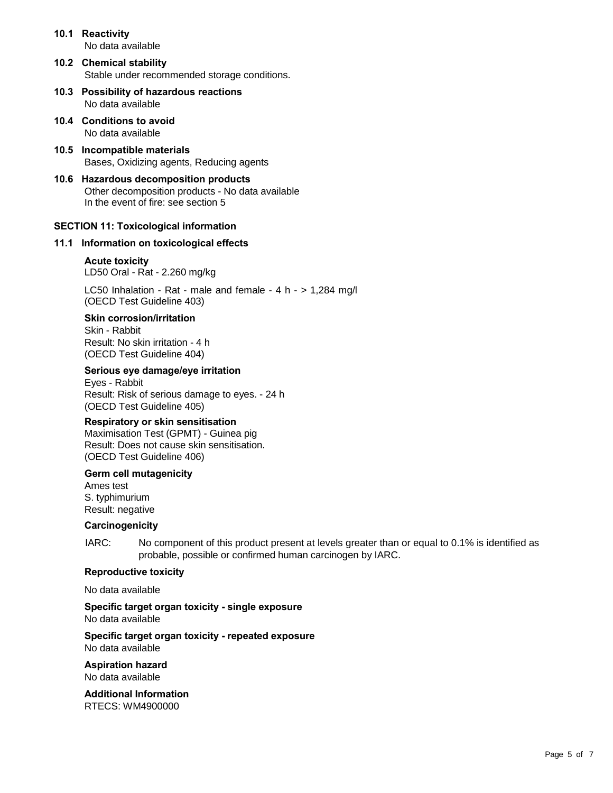|      | 10.1 Reactivity<br>No data available                                                                                             |
|------|----------------------------------------------------------------------------------------------------------------------------------|
|      | 10.2 Chemical stability<br>Stable under recommended storage conditions.                                                          |
|      | 10.3 Possibility of hazardous reactions<br>No data available                                                                     |
|      | 10.4 Conditions to avoid<br>No data available                                                                                    |
|      | 10.5 Incompatible materials<br>Bases, Oxidizing agents, Reducing agents                                                          |
|      | 10.6 Hazardous decomposition products<br>Other decomposition products - No data available<br>In the event of fire: see section 5 |
|      | <b>SECTION 11: Toxicological information</b>                                                                                     |
| 11.1 | Information on toxicological effects                                                                                             |
|      | <b>Acute toxicity</b><br>LD50 Oral - Rat - 2.260 mg/kg                                                                           |
|      |                                                                                                                                  |

LC50 Inhalation - Rat - male and female - 4 h - > 1,284 mg/l (OECD Test Guideline 403)

# **Skin corrosion/irritation**

Skin - Rabbit Result: No skin irritation - 4 h (OECD Test Guideline 404)

#### **Serious eye damage/eye irritation**

Eyes - Rabbit Result: Risk of serious damage to eyes. - 24 h (OECD Test Guideline 405)

#### **Respiratory or skin sensitisation**

Maximisation Test (GPMT) - Guinea pig Result: Does not cause skin sensitisation. (OECD Test Guideline 406)

#### **Germ cell mutagenicity**

Ames test S. typhimurium Result: negative

#### **Carcinogenicity**

IARC: No component of this product present at levels greater than or equal to 0.1% is identified as probable, possible or confirmed human carcinogen by IARC.

#### **Reproductive toxicity**

No data available

**Specific target organ toxicity - single exposure** No data available

**Specific target organ toxicity - repeated exposure**

No data available

**Aspiration hazard** No data available

**Additional Information** RTECS: WM4900000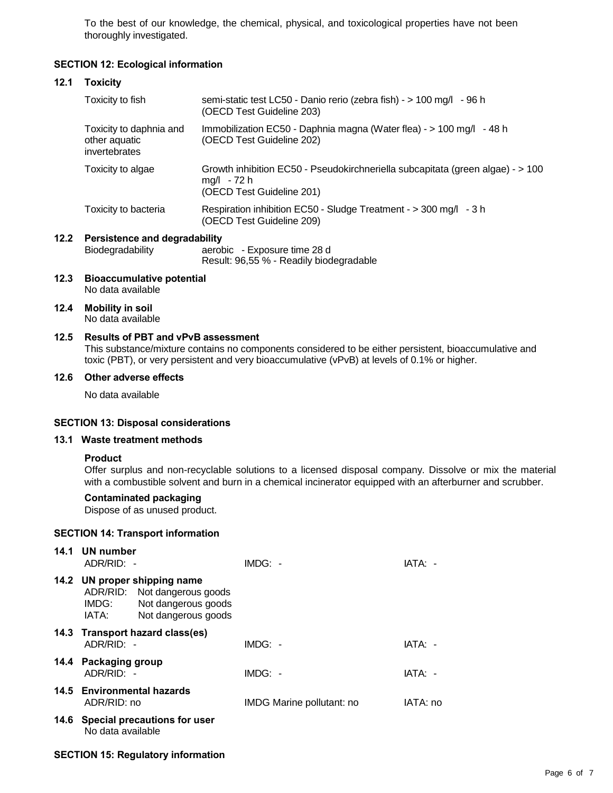To the best of our knowledge, the chemical, physical, and toxicological properties have not been thoroughly investigated.

# **SECTION 12: Ecological information**

#### **12.1 Toxicity**

| Toxicity to fish                                          | semi-static test LC50 - Danio rerio (zebra fish) - > 100 mg/l - 96 h<br>(OECD Test Guideline 203)                          |
|-----------------------------------------------------------|----------------------------------------------------------------------------------------------------------------------------|
| Toxicity to daphnia and<br>other aquatic<br>invertebrates | Immobilization EC50 - Daphnia magna (Water flea) - > 100 mg/l - 48 h<br>(OECD Test Guideline 202)                          |
| Toxicity to algae                                         | Growth inhibition EC50 - Pseudokirchneriella subcapitata (green algae) - > 100<br>mg/l - 72 h<br>(OECD Test Guideline 201) |
| Toxicity to bacteria                                      | Respiration inhibition EC50 - Sludge Treatment - > 300 mg/l - 3 h<br>(OECD Test Guideline 209)                             |
| <b>Persistence and degradability</b>                      |                                                                                                                            |

# **12.2 Persistence and degradability**

Biodegradability aerobic - Exposure time 28 d Result: 96,55 % - Readily biodegradable

- **12.3 Bioaccumulative potential** No data available
- **12.4 Mobility in soil** No data available

# **12.5 Results of PBT and vPvB assessment**

This substance/mixture contains no components considered to be either persistent, bioaccumulative and toxic (PBT), or very persistent and very bioaccumulative (vPvB) at levels of 0.1% or higher.

#### **12.6 Other adverse effects**

No data available

#### **SECTION 13: Disposal considerations**

#### **13.1 Waste treatment methods**

#### **Product**

Offer surplus and non-recyclable solutions to a licensed disposal company. Dissolve or mix the material with a combustible solvent and burn in a chemical incinerator equipped with an afterburner and scrubber.

## **Contaminated packaging**

Dispose of as unused product.

#### **SECTION 14: Transport information**

| 14.1 | UN number<br>ADR/RID: -            |                                                                                                            | $IMDG: -$                 | IATA: -  |
|------|------------------------------------|------------------------------------------------------------------------------------------------------------|---------------------------|----------|
|      | IMDG:<br>IATA:                     | 14.2 UN proper shipping name<br>ADR/RID: Not dangerous goods<br>Not dangerous goods<br>Not dangerous goods |                           |          |
|      | $ADR/RID: -$                       | 14.3 Transport hazard class(es)                                                                            | $IMDG: -$                 | IATA: -  |
|      | 14.4 Packaging group<br>ADR/RID: - |                                                                                                            | $IMDG: -$                 | IATA: -  |
|      | ADR/RID: no                        | 14.5 Environmental hazards                                                                                 | IMDG Marine pollutant: no | IATA: no |
|      | No data available                  | 14.6 Special precautions for user                                                                          |                           |          |

# **SECTION 15: Regulatory information**